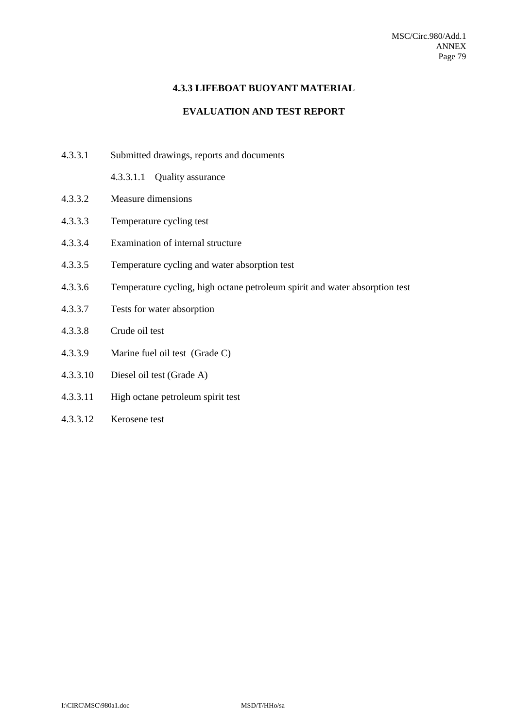### **4.3.3 LIFEBOAT BUOYANT MATERIAL**

## **EVALUATION AND TEST REPORT**

- 4.3.3.1 Submitted drawings, reports and documents
	- 4.3.3.1.1 Quality assurance
- 4.3.3.2 Measure dimensions
- 4.3.3.3 Temperature cycling test
- 4.3.3.4 Examination of internal structure
- 4.3.3.5 Temperature cycling and water absorption test
- 4.3.3.6 Temperature cycling, high octane petroleum spirit and water absorption test
- 4.3.3.7 Tests for water absorption
- 4.3.3.8 Crude oil test
- 4.3.3.9 Marine fuel oil test (Grade C)
- 4.3.3.10 Diesel oil test (Grade A)
- 4.3.3.11 High octane petroleum spirit test
- 4.3.3.12 Kerosene test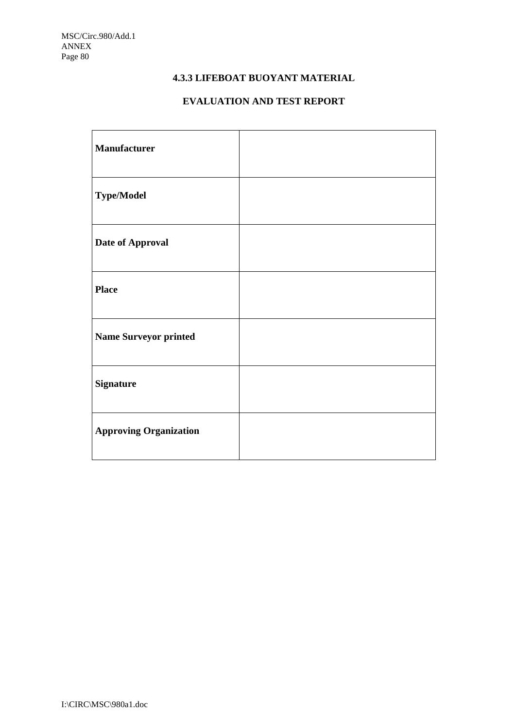# **4.3.3 LIFEBOAT BUOYANT MATERIAL**

# **EVALUATION AND TEST REPORT**

| <b>Manufacturer</b>           |  |
|-------------------------------|--|
| <b>Type/Model</b>             |  |
| Date of Approval              |  |
| <b>Place</b>                  |  |
| <b>Name Surveyor printed</b>  |  |
| <b>Signature</b>              |  |
| <b>Approving Organization</b> |  |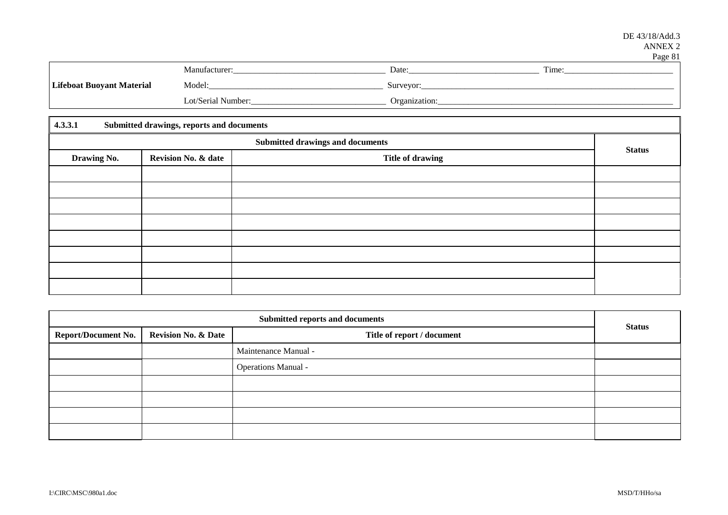### DE 43/18/Add.3 ANNEX 2

|                                  |                    |               | Page 81 |
|----------------------------------|--------------------|---------------|---------|
|                                  | Manufacturer:      | Date:         | Time:   |
| <b>Lifeboat Buoyant Material</b> | Model:             | Surveyor:     |         |
|                                  | Lot/Serial Number: | Organization: |         |

| 4.3.3.1     | Submitted drawings, reports and documents |                                         |               |  |  |
|-------------|-------------------------------------------|-----------------------------------------|---------------|--|--|
|             |                                           | <b>Submitted drawings and documents</b> |               |  |  |
| Drawing No. | <b>Revision No. &amp; date</b>            | <b>Title of drawing</b>                 | <b>Status</b> |  |  |
|             |                                           |                                         |               |  |  |
|             |                                           |                                         |               |  |  |
|             |                                           |                                         |               |  |  |
|             |                                           |                                         |               |  |  |
|             |                                           |                                         |               |  |  |
|             |                                           |                                         |               |  |  |
|             |                                           |                                         |               |  |  |
|             |                                           |                                         |               |  |  |

| Submitted reports and documents |                                |                            |               |  |
|---------------------------------|--------------------------------|----------------------------|---------------|--|
| <b>Report/Document No.</b>      | <b>Revision No. &amp; Date</b> | Title of report / document | <b>Status</b> |  |
|                                 |                                | Maintenance Manual -       |               |  |
|                                 |                                | <b>Operations Manual -</b> |               |  |
|                                 |                                |                            |               |  |
|                                 |                                |                            |               |  |
|                                 |                                |                            |               |  |
|                                 |                                |                            |               |  |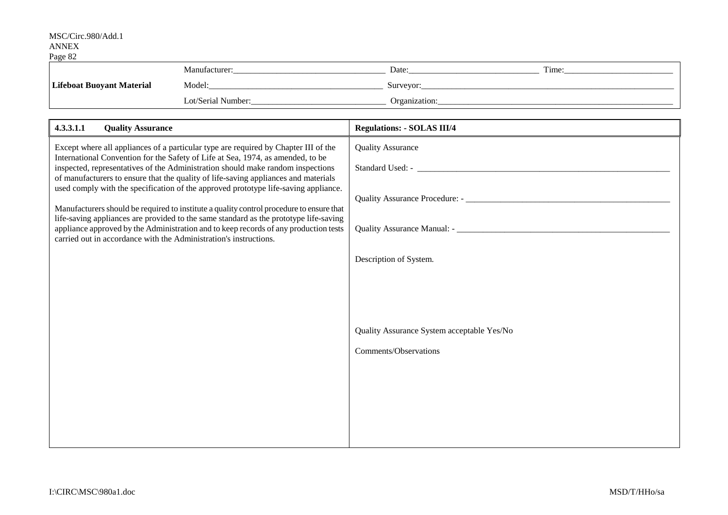| ------                           |                    |               |       |
|----------------------------------|--------------------|---------------|-------|
|                                  | Manufacturer:      | Date:         | Time: |
| <b>Lifeboat Buoyant Material</b> | Model:             | Surveyor:     |       |
|                                  | Lot/Serial Number: | Organization: |       |

| 4.3.3.1.1<br><b>Quality Assurance</b>                                                                                                                                                                                                                                                                                                                                                                                                                                                                                                                                                                                                                                                                                                                                                     | <b>Regulations: - SOLAS III/4</b>                                   |
|-------------------------------------------------------------------------------------------------------------------------------------------------------------------------------------------------------------------------------------------------------------------------------------------------------------------------------------------------------------------------------------------------------------------------------------------------------------------------------------------------------------------------------------------------------------------------------------------------------------------------------------------------------------------------------------------------------------------------------------------------------------------------------------------|---------------------------------------------------------------------|
| Except where all appliances of a particular type are required by Chapter III of the<br>International Convention for the Safety of Life at Sea, 1974, as amended, to be<br>inspected, representatives of the Administration should make random inspections<br>of manufacturers to ensure that the quality of life-saving appliances and materials<br>used comply with the specification of the approved prototype life-saving appliance.<br>Manufacturers should be required to institute a quality control procedure to ensure that<br>life-saving appliances are provided to the same standard as the prototype life-saving<br>appliance approved by the Administration and to keep records of any production tests<br>carried out in accordance with the Administration's instructions. | <b>Quality Assurance</b><br>Description of System.                  |
|                                                                                                                                                                                                                                                                                                                                                                                                                                                                                                                                                                                                                                                                                                                                                                                           | Quality Assurance System acceptable Yes/No<br>Comments/Observations |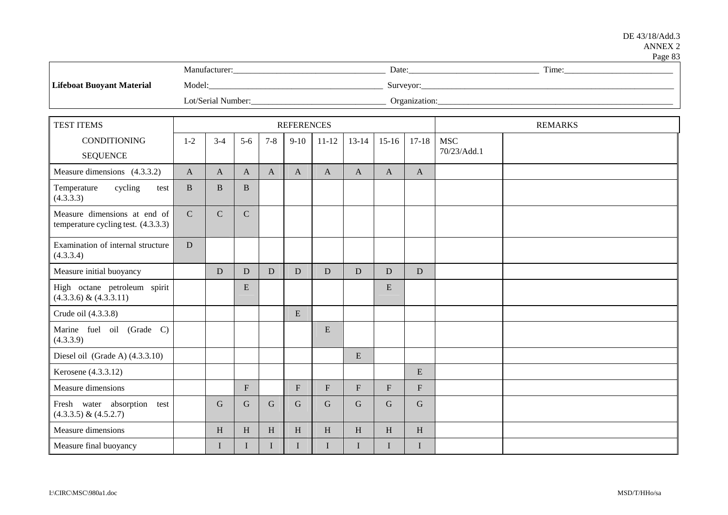#### DE 43/18/Add.3 ANNEX 2  $P_{\text{200}}$  83

|                           |                    |               | $\Gamma$ age ob |
|---------------------------|--------------------|---------------|-----------------|
|                           | Manufacturer       | Date:         | Time:           |
| Lifeboat Buoyant Material | Model:             | Surveyor:     |                 |
|                           | Lot/Serial Number: | Organization: |                 |

| <b>TEST ITEMS</b>                                                   |               |              |              |              | <b>REFERENCES</b> |              |              |              |              |                           | <b>REMARKS</b> |
|---------------------------------------------------------------------|---------------|--------------|--------------|--------------|-------------------|--------------|--------------|--------------|--------------|---------------------------|----------------|
| <b>CONDITIONING</b><br><b>SEQUENCE</b>                              | $1 - 2$       | $3 - 4$      | $5-6$        | $7 - 8$      | $9-10$            | $11 - 12$    | $13 - 14$    | $15-16$      | $17-18$      | <b>MSC</b><br>70/23/Add.1 |                |
| Measure dimensions (4.3.3.2)                                        | $\mathbf{A}$  | $\mathbf{A}$ | A            | $\mathbf{A}$ | $\mathbf{A}$      | A            | $\mathbf{A}$ | $\mathbf{A}$ | $\mathbf{A}$ |                           |                |
| cycling<br>Temperature<br>test<br>(4.3.3.3)                         | $\mathbf{B}$  | $\mathbf B$  | B            |              |                   |              |              |              |              |                           |                |
| Measure dimensions at end of<br>temperature cycling test. (4.3.3.3) | $\mathcal{C}$ | $\mathsf{C}$ | $\mathbf C$  |              |                   |              |              |              |              |                           |                |
| Examination of internal structure<br>(4.3.3.4)                      | D             |              |              |              |                   |              |              |              |              |                           |                |
| Measure initial buoyancy                                            |               | D            | D            | D            | D                 | D            | D            | D            | D            |                           |                |
| High octane petroleum spirit<br>(4.3.3.6) & (4.3.3.11)              |               |              | E            |              |                   |              |              | ${\bf E}$    |              |                           |                |
| Crude oil (4.3.3.8)                                                 |               |              |              |              | E                 |              |              |              |              |                           |                |
| Marine fuel oil (Grade C)<br>(4.3.3.9)                              |               |              |              |              |                   | ${\bf E}$    |              |              |              |                           |                |
| Diesel oil (Grade A) $(4.3.3.10)$                                   |               |              |              |              |                   |              | ${\bf E}$    |              |              |                           |                |
| Kerosene (4.3.3.12)                                                 |               |              |              |              |                   |              |              |              | ${\bf E}$    |                           |                |
| Measure dimensions                                                  |               |              | $\mathbf{F}$ |              | $\mathbf{F}$      | F            | $\mathbf{F}$ | $\mathbf{F}$ | ${\bf F}$    |                           |                |
| Fresh water absorption<br>test<br>$(4.3.3.5) \& (4.5.2.7)$          |               | $\mathbf G$  | G            | $\mathbf G$  | G                 | G            | G            | $\mathbf G$  | $\mathbf G$  |                           |                |
| Measure dimensions                                                  |               | $\, {\rm H}$ | H            | H            | $\mathbf H$       | $\, {\rm H}$ | H            | $\, {\rm H}$ | H            |                           |                |
| Measure final buoyancy                                              |               | T            |              | I            |                   |              |              | T            | L            |                           |                |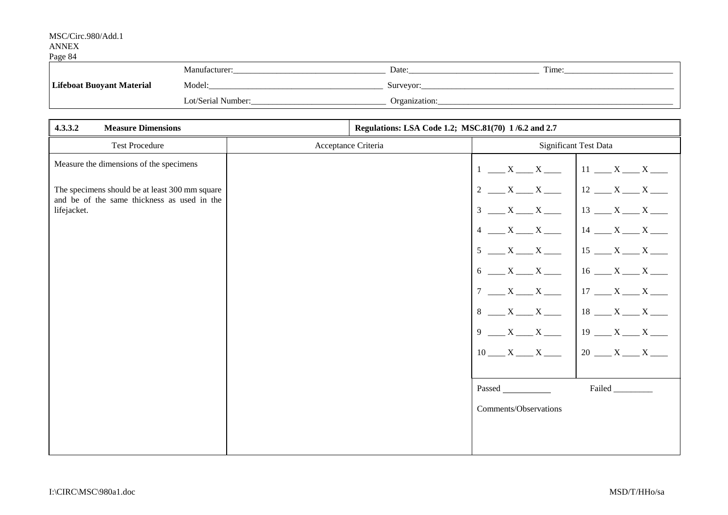|                                             | Manufacturei       | Date:         | Time: |
|---------------------------------------------|--------------------|---------------|-------|
| <b>I ifeboat Buoyant Mars</b><br>: Material | Model:             | Surveyor      |       |
|                                             | Lot/Serial Number: | )rganization: |       |

| 4.3.3.2<br><b>Measure Dimensions</b>                                                          |                     | Regulations: LSA Code 1.2; MSC.81(70) 1/6.2 and 2.7 |                       |                              |
|-----------------------------------------------------------------------------------------------|---------------------|-----------------------------------------------------|-----------------------|------------------------------|
| <b>Test Procedure</b>                                                                         | Acceptance Criteria |                                                     |                       | <b>Significant Test Data</b> |
| Measure the dimensions of the specimens                                                       |                     |                                                     | $1 - X - X$           | $11$ __ X __ X __            |
| The specimens should be at least 300 mm square<br>and be of the same thickness as used in the |                     |                                                     | $2 \frac{X}{X}$       |                              |
| lifejacket.                                                                                   |                     |                                                     | $3 \t X$ $X$          | $13 \t X \t X$               |
|                                                                                               |                     |                                                     | $4 \_X_{x}$           | $14 \_ X \_ X \_ X \_$       |
|                                                                                               |                     |                                                     | $5 \t X$ $X$          | $15 \t X \t X$               |
|                                                                                               |                     |                                                     | $6 \_ X \_ X \_$      | $16 \_ X \_ X \_$            |
|                                                                                               |                     |                                                     | $7 - X - X$           | $17 \t X \t X$               |
|                                                                                               |                     |                                                     | $8 \t X$ X            | $18$ __ X __ X __            |
|                                                                                               |                     |                                                     | $9 - X - X$           | $19 \_ X \_ X \_$            |
|                                                                                               |                     |                                                     | $10$ ___ X ___ X ___  | $20 - X - X$                 |
|                                                                                               |                     |                                                     |                       |                              |
|                                                                                               |                     |                                                     | Passed                | Failed                       |
|                                                                                               |                     |                                                     | Comments/Observations |                              |
|                                                                                               |                     |                                                     |                       |                              |
|                                                                                               |                     |                                                     |                       |                              |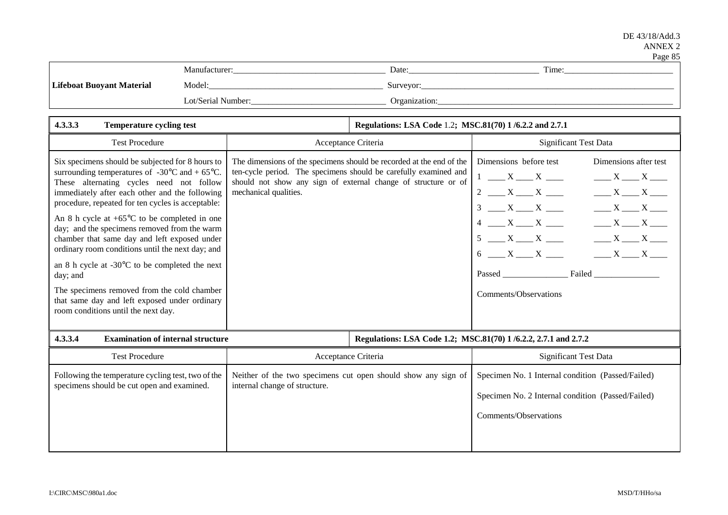|                                  |                    |               | ------      |
|----------------------------------|--------------------|---------------|-------------|
|                                  | Manufacturer       | Date:         | m.<br>l'ime |
| <b>Lifeboat Buoyant Material</b> | Model:             | Surveyor:     |             |
|                                  | Lot/Serial Number: | Organization: |             |

| 4.3.3.3<br><b>Temperature cycling test</b>                                                                                                                                                                                                                                                                                                                                                                                                                                                                                                                                                                                                                                                           |                                                                                                                                                                                                                                     | Regulations: LSA Code 1.2; MSC.81(70) 1/6.2.2 and 2.7.1 |                                                                                                                                                                                                                                                                                                                          |  |
|------------------------------------------------------------------------------------------------------------------------------------------------------------------------------------------------------------------------------------------------------------------------------------------------------------------------------------------------------------------------------------------------------------------------------------------------------------------------------------------------------------------------------------------------------------------------------------------------------------------------------------------------------------------------------------------------------|-------------------------------------------------------------------------------------------------------------------------------------------------------------------------------------------------------------------------------------|---------------------------------------------------------|--------------------------------------------------------------------------------------------------------------------------------------------------------------------------------------------------------------------------------------------------------------------------------------------------------------------------|--|
| <b>Test Procedure</b>                                                                                                                                                                                                                                                                                                                                                                                                                                                                                                                                                                                                                                                                                | Acceptance Criteria                                                                                                                                                                                                                 |                                                         | Significant Test Data                                                                                                                                                                                                                                                                                                    |  |
| Six specimens should be subjected for 8 hours to<br>surrounding temperatures of $-30^{\circ}$ C and $+65^{\circ}$ C.<br>These alternating cycles need not follow<br>immediately after each other and the following<br>procedure, repeated for ten cycles is acceptable:<br>An 8 h cycle at $+65^{\circ}$ C to be completed in one<br>day; and the specimens removed from the warm<br>chamber that same day and left exposed under<br>ordinary room conditions until the next day; and<br>an 8 h cycle at $-30^{\circ}$ C to be completed the next<br>day; and<br>The specimens removed from the cold chamber<br>that same day and left exposed under ordinary<br>room conditions until the next day. | The dimensions of the specimens should be recorded at the end of the<br>ten-cycle period. The specimens should be carefully examined and<br>should not show any sign of external change of structure or of<br>mechanical qualities. |                                                         | Dimensions before test<br>Dimensions after test<br>$1 \quad X \quad X \quad \quad$<br>$\frac{X}{1}$ X $\frac{X}{1}$<br>$2 \frac{X}{X}$<br>$X = X$<br>$3 \t X$ X $\t X$<br>$X = X$<br>$X = X$<br>$5 \t X$ $X$<br>$X = X$<br>$6 \t X$ $X$<br>$X = X$<br><b>Failed Exercise 2</b><br><b>Passed</b><br>Comments/Observations |  |
| 4.3.3.4<br><b>Examination of internal structure</b>                                                                                                                                                                                                                                                                                                                                                                                                                                                                                                                                                                                                                                                  |                                                                                                                                                                                                                                     |                                                         | Regulations: LSA Code 1.2; MSC.81(70) 1/6.2.2, 2.7.1 and 2.7.2                                                                                                                                                                                                                                                           |  |
| <b>Test Procedure</b>                                                                                                                                                                                                                                                                                                                                                                                                                                                                                                                                                                                                                                                                                | Acceptance Criteria                                                                                                                                                                                                                 |                                                         | <b>Significant Test Data</b>                                                                                                                                                                                                                                                                                             |  |
| Following the temperature cycling test, two of the<br>specimens should be cut open and examined.                                                                                                                                                                                                                                                                                                                                                                                                                                                                                                                                                                                                     | Neither of the two specimens cut open should show any sign of<br>internal change of structure.                                                                                                                                      |                                                         | Specimen No. 1 Internal condition (Passed/Failed)<br>Specimen No. 2 Internal condition (Passed/Failed)<br>Comments/Observations                                                                                                                                                                                          |  |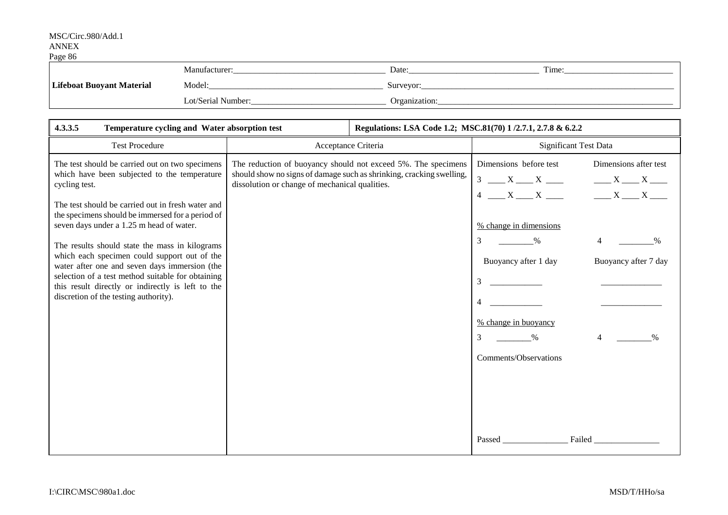| - - - - - -                      | Manufacturer:      | Date:         | m.<br>l'ime |
|----------------------------------|--------------------|---------------|-------------|
| <b>Lifeboat Buoyant Material</b> | Model:             | Surveyor:     |             |
|                                  | Lot/Serial Number: | Organization: |             |

| 4.3.3.5<br>Temperature cycling and Water absorption test                                                                                                                                                                                                                                           |                                                | Regulations: LSA Code 1.2; MSC.81(70) 1/2.7.1, 2.7.8 & 6.2.2                                                                          |                                                                                                                                          |                                                                             |
|----------------------------------------------------------------------------------------------------------------------------------------------------------------------------------------------------------------------------------------------------------------------------------------------------|------------------------------------------------|---------------------------------------------------------------------------------------------------------------------------------------|------------------------------------------------------------------------------------------------------------------------------------------|-----------------------------------------------------------------------------|
| <b>Test Procedure</b>                                                                                                                                                                                                                                                                              |                                                | Acceptance Criteria                                                                                                                   | Significant Test Data                                                                                                                    |                                                                             |
| The test should be carried out on two specimens<br>which have been subjected to the temperature<br>cycling test.<br>The test should be carried out in fresh water and<br>the specimens should be immersed for a period of<br>seven days under a 1.25 m head of water.                              | dissolution or change of mechanical qualities. | The reduction of buoyancy should not exceed 5%. The specimens<br>should show no signs of damage such as shrinking, cracking swelling, | Dimensions before test<br>$3 \t X$ $X$<br>$4 \t X$ $X$<br>% change in dimensions                                                         | Dimensions after test<br>$X = X$<br>$X \longrightarrow X \longrightarrow X$ |
| The results should state the mass in kilograms<br>which each specimen could support out of the<br>water after one and seven days immersion (the<br>selection of a test method suitable for obtaining<br>this result directly or indirectly is left to the<br>discretion of the testing authority). |                                                |                                                                                                                                       | 3<br>$\%$<br>Buoyancy after 1 day<br>3<br>% change in buoyancy<br>3<br>$\frac{0}{0}$<br><b>Comments/Observations</b><br>Failed<br>Passed | $\overline{4}$<br>$\%$<br>Buoyancy after 7 day<br>4                         |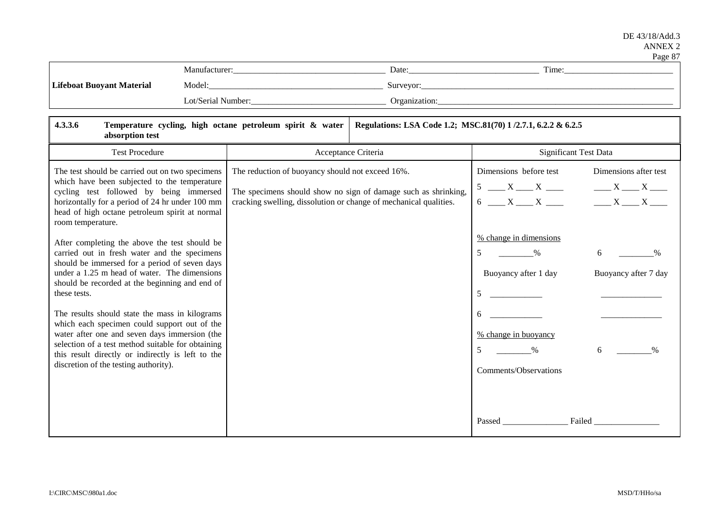|                                  |                           |               | $\sim$ where $\sim$ $\prime$ |
|----------------------------------|---------------------------|---------------|------------------------------|
|                                  | Manufacturer <sup>.</sup> | Date:         | Time:                        |
| <b>Lifeboat Buoyant Material</b> | Model:                    | Surveyor:     |                              |
|                                  | Lot/Serial Number:        | Organization: |                              |

| 4.3.3.6<br>Temperature cycling, high octane petroleum spirit & water<br>absorption test                                                                                                                                                                                                                                                                                                                                                                                                                                                                                                                                                                                                                                                                                                                                                        |                                                                                                                       | Regulations: LSA Code 1.2; MSC.81(70) 1/2.7.1, 6.2.2 & 6.2.5   |                                                                                                                                                                                                                   |                                                                                                                                        |
|------------------------------------------------------------------------------------------------------------------------------------------------------------------------------------------------------------------------------------------------------------------------------------------------------------------------------------------------------------------------------------------------------------------------------------------------------------------------------------------------------------------------------------------------------------------------------------------------------------------------------------------------------------------------------------------------------------------------------------------------------------------------------------------------------------------------------------------------|-----------------------------------------------------------------------------------------------------------------------|----------------------------------------------------------------|-------------------------------------------------------------------------------------------------------------------------------------------------------------------------------------------------------------------|----------------------------------------------------------------------------------------------------------------------------------------|
| <b>Test Procedure</b>                                                                                                                                                                                                                                                                                                                                                                                                                                                                                                                                                                                                                                                                                                                                                                                                                          |                                                                                                                       | Acceptance Criteria                                            | <b>Significant Test Data</b>                                                                                                                                                                                      |                                                                                                                                        |
| The test should be carried out on two specimens<br>which have been subjected to the temperature<br>cycling test followed by being immersed<br>horizontally for a period of 24 hr under 100 mm<br>head of high octane petroleum spirit at normal<br>room temperature.<br>After completing the above the test should be<br>carried out in fresh water and the specimens<br>should be immersed for a period of seven days<br>under a 1.25 m head of water. The dimensions<br>should be recorded at the beginning and end of<br>these tests.<br>The results should state the mass in kilograms<br>which each specimen could support out of the<br>water after one and seven days immersion (the<br>selection of a test method suitable for obtaining<br>this result directly or indirectly is left to the<br>discretion of the testing authority). | The reduction of buoyancy should not exceed 16%.<br>cracking swelling, dissolution or change of mechanical qualities. | The specimens should show no sign of damage such as shrinking, | Dimensions before test<br>$5 \underline{X} \underline{X}$<br>$6 \t X \t X$<br>% change in dimensions<br>5<br>$\%$<br>Buoyancy after 1 day<br>5<br>6<br>% change in buoyancy<br>5<br>$\%$<br>Comments/Observations | Dimensions after test<br>$X = X$<br>$X \longrightarrow X \longrightarrow X$<br>6<br>$\frac{0}{0}$<br>Buoyancy after 7 day<br>6<br>$\%$ |
|                                                                                                                                                                                                                                                                                                                                                                                                                                                                                                                                                                                                                                                                                                                                                                                                                                                |                                                                                                                       |                                                                | <b>Passed</b>                                                                                                                                                                                                     | Failed                                                                                                                                 |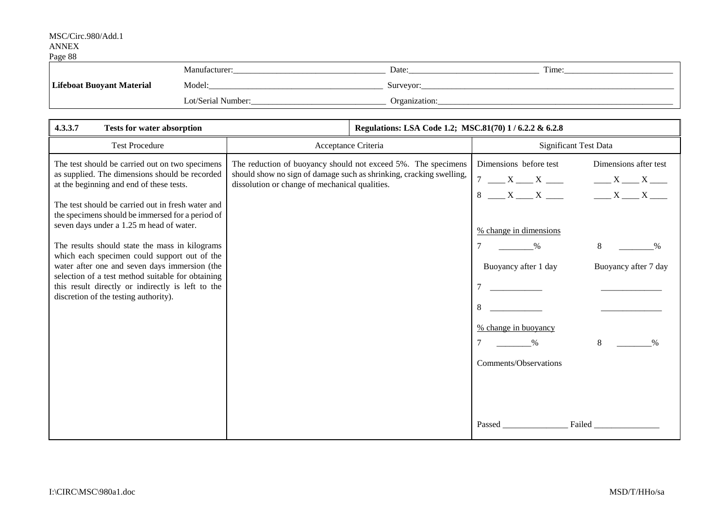| - ---- - -                       | Manufacturer:      | Date:         | m.<br>l'ime: |
|----------------------------------|--------------------|---------------|--------------|
| <b>Lifeboat Buoyant Material</b> | Model:             | Surveyor      |              |
|                                  | Lot/Serial Number: | Organization: |              |

| 4.3.3.7<br><b>Tests for water absorption</b>                                                                                                                                                                                                                                                                                                                                                                                                                                                                                                                                                             | Regulations: LSA Code 1.2; MSC.81(70) 1 / 6.2.2 & 6.2.8                                                                                                                                |                                                                                                                                                                                                                                                                                                                                                                                               |
|----------------------------------------------------------------------------------------------------------------------------------------------------------------------------------------------------------------------------------------------------------------------------------------------------------------------------------------------------------------------------------------------------------------------------------------------------------------------------------------------------------------------------------------------------------------------------------------------------------|----------------------------------------------------------------------------------------------------------------------------------------------------------------------------------------|-----------------------------------------------------------------------------------------------------------------------------------------------------------------------------------------------------------------------------------------------------------------------------------------------------------------------------------------------------------------------------------------------|
| <b>Test Procedure</b>                                                                                                                                                                                                                                                                                                                                                                                                                                                                                                                                                                                    | Acceptance Criteria                                                                                                                                                                    | <b>Significant Test Data</b>                                                                                                                                                                                                                                                                                                                                                                  |
| The test should be carried out on two specimens<br>as supplied. The dimensions should be recorded<br>at the beginning and end of these tests.<br>The test should be carried out in fresh water and<br>the specimens should be immersed for a period of<br>seven days under a 1.25 m head of water.<br>The results should state the mass in kilograms<br>which each specimen could support out of the<br>water after one and seven days immersion (the<br>selection of a test method suitable for obtaining<br>this result directly or indirectly is left to the<br>discretion of the testing authority). | The reduction of buoyancy should not exceed 5%. The specimens<br>should show no sign of damage such as shrinking, cracking swelling,<br>dissolution or change of mechanical qualities. | Dimensions before test<br>Dimensions after test<br>$7 \underline{\hspace{1cm}} X \underline{\hspace{1cm}} X \underline{\hspace{1cm}}$<br>$X = X$<br>$8 \t X$ X $\t X$ X $\t X$<br>% change in dimensions<br>$\%$<br>8<br>$\%$<br>Buoyancy after 1 day<br>Buoyancy after 7 day<br>8<br>% change in buoyancy<br>8<br>$\frac{0}{0}$<br>$\%$<br>Comments/Observations<br><b>Failed Exercise 2</b> |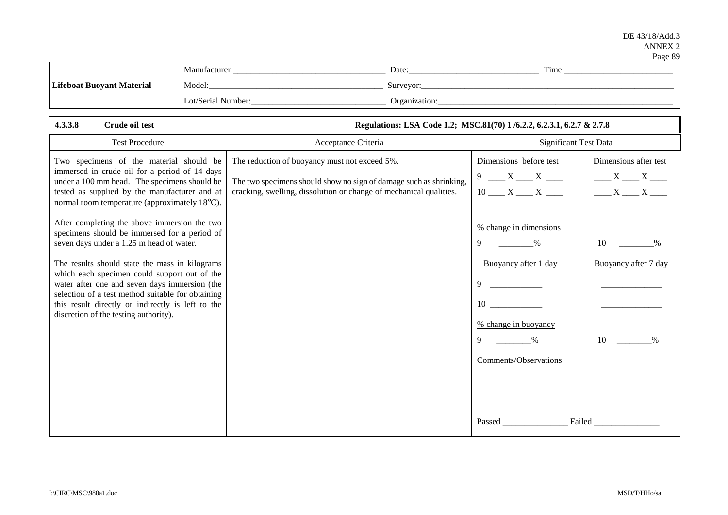|                                  |                    |               | ------           |
|----------------------------------|--------------------|---------------|------------------|
|                                  | Manufacturer:      | Date:         | $\sim$<br>l'ime: |
| <b>Lifeboat Buovant Material</b> | Model:             | Surveyor:     |                  |
|                                  | Lot/Serial Number: | Organization: |                  |

| 4.3.3.8<br>Crude oil test                                                                                                                                                                                                                                                                                                                                                                                                                      |                                                                                                                                                                                           | Regulations: LSA Code 1.2; MSC.81(70) 1/6.2.2, 6.2.3.1, 6.2.7 & 2.7.8                                                                                                                                                                                  |
|------------------------------------------------------------------------------------------------------------------------------------------------------------------------------------------------------------------------------------------------------------------------------------------------------------------------------------------------------------------------------------------------------------------------------------------------|-------------------------------------------------------------------------------------------------------------------------------------------------------------------------------------------|--------------------------------------------------------------------------------------------------------------------------------------------------------------------------------------------------------------------------------------------------------|
| <b>Test Procedure</b>                                                                                                                                                                                                                                                                                                                                                                                                                          | Acceptance Criteria                                                                                                                                                                       | <b>Significant Test Data</b>                                                                                                                                                                                                                           |
| Two specimens of the material should be<br>immersed in crude oil for a period of 14 days<br>under a 100 mm head. The specimens should be<br>tested as supplied by the manufacturer and at<br>normal room temperature (approximately 18°C).                                                                                                                                                                                                     | The reduction of buoyancy must not exceed 5%.<br>The two specimens should show no sign of damage such as shrinking,<br>cracking, swelling, dissolution or change of mechanical qualities. | Dimensions before test<br>Dimensions after test<br>$9 - X - X$<br>$X = X$<br>$10$ $X$ $X$ $X$ $X$ $X$ $X$ $X$                                                                                                                                          |
| After completing the above immersion the two<br>specimens should be immersed for a period of<br>seven days under a 1.25 m head of water.<br>The results should state the mass in kilograms<br>which each specimen could support out of the<br>water after one and seven days immersion (the<br>selection of a test method suitable for obtaining<br>this result directly or indirectly is left to the<br>discretion of the testing authority). |                                                                                                                                                                                           | % change in dimensions<br>9<br>$\%$<br>10<br>$\%$<br>Buoyancy after 1 day<br>Buoyancy after 7 day<br>9<br>$10 \quad \text{m}$<br>% change in buoyancy<br>10<br>9<br>$\frac{0}{0}$<br>$\frac{0}{0}$<br>Comments/Observations<br>Failed<br><b>Passed</b> |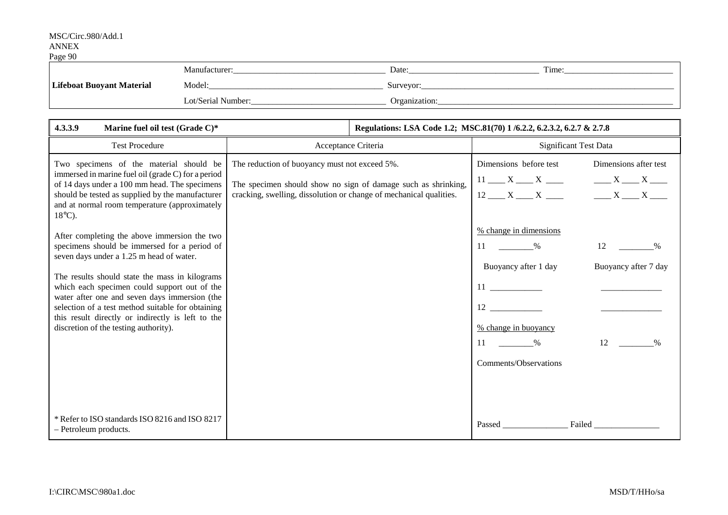# MSC/Circ.980/Add.1

### ANNEX Page 90

| $1.45 \times 10^{-1}$            |                    |                       |       |
|----------------------------------|--------------------|-----------------------|-------|
|                                  | Manutacturer:      | Date:                 | Time: |
| <b>Lifeboat Buoyant Material</b> | Model:             | Surveyor <sup>.</sup> |       |
|                                  | Lot/Serial Number: | Organization:         |       |

| 4.3.3.9<br>Marine fuel oil test (Grade C)*                                                                                                                                                                                                                                                                                                                                                                                                     |                                                                                                                                                                                      | Regulations: LSA Code 1.2; MSC.81(70) 1/6.2.2, 6.2.3.2, 6.2.7 & 2.7.8                                                                                                                                         |  |
|------------------------------------------------------------------------------------------------------------------------------------------------------------------------------------------------------------------------------------------------------------------------------------------------------------------------------------------------------------------------------------------------------------------------------------------------|--------------------------------------------------------------------------------------------------------------------------------------------------------------------------------------|---------------------------------------------------------------------------------------------------------------------------------------------------------------------------------------------------------------|--|
| <b>Test Procedure</b>                                                                                                                                                                                                                                                                                                                                                                                                                          | Acceptance Criteria                                                                                                                                                                  | Significant Test Data                                                                                                                                                                                         |  |
| Two specimens of the material should be<br>immersed in marine fuel oil (grade C) for a period<br>of 14 days under a 100 mm head. The specimens<br>should be tested as supplied by the manufacturer<br>and at normal room temperature (approximately<br>$18^{\circ}$ C).                                                                                                                                                                        | The reduction of buoyancy must not exceed 5%.<br>The specimen should show no sign of damage such as shrinking,<br>cracking, swelling, dissolution or change of mechanical qualities. | Dimensions before test<br>Dimensions after test<br>$11 \_ X \_ X \_$<br>$X = X$<br>$X = X$<br>$12 \underline{\hspace{1cm}} X \underline{\hspace{1cm}} X \underline{\hspace{1cm}}$                             |  |
| After completing the above immersion the two<br>specimens should be immersed for a period of<br>seven days under a 1.25 m head of water.<br>The results should state the mass in kilograms<br>which each specimen could support out of the<br>water after one and seven days immersion (the<br>selection of a test method suitable for obtaining<br>this result directly or indirectly is left to the<br>discretion of the testing authority). |                                                                                                                                                                                      | % change in dimensions<br>$\%$<br>12<br>11<br>$\%$<br>Buoyancy after 1 day<br>Buoyancy after 7 day<br>$12 \quad \text{or} \quad$<br>% change in buoyancy<br>12<br>$\%$<br>$\%$<br>11<br>Comments/Observations |  |
| * Refer to ISO standards ISO 8216 and ISO 8217<br>- Petroleum products.                                                                                                                                                                                                                                                                                                                                                                        |                                                                                                                                                                                      | Failed<br><b>Passed</b>                                                                                                                                                                                       |  |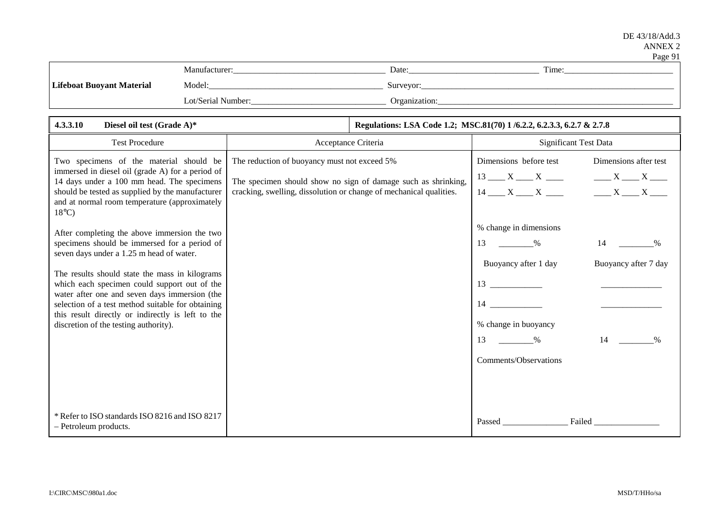|                                  |                    |               | $ -$       |
|----------------------------------|--------------------|---------------|------------|
|                                  | Manufacturer       | Date:         | m.<br>Time |
| <b>Lifeboat Buoyant Material</b> | Model:             | Surveyor:     |            |
|                                  | Lot/Serial Number: | Organization: |            |

| 4.3.3.10<br>Diesel oil test (Grade A)*                                                                                                                                                                                                                                                                                                                                                                                                         |                                                                                                                                                                                     | Regulations: LSA Code 1.2; MSC.81(70) 1/6.2.2, 6.2.3.3, 6.2.7 & 2.7.8 |                                                                                                                                   |                                                                             |
|------------------------------------------------------------------------------------------------------------------------------------------------------------------------------------------------------------------------------------------------------------------------------------------------------------------------------------------------------------------------------------------------------------------------------------------------|-------------------------------------------------------------------------------------------------------------------------------------------------------------------------------------|-----------------------------------------------------------------------|-----------------------------------------------------------------------------------------------------------------------------------|-----------------------------------------------------------------------------|
| <b>Test Procedure</b>                                                                                                                                                                                                                                                                                                                                                                                                                          | Acceptance Criteria                                                                                                                                                                 |                                                                       | <b>Significant Test Data</b>                                                                                                      |                                                                             |
| Two specimens of the material should be<br>immersed in diesel oil (grade A) for a period of<br>14 days under a 100 mm head. The specimens<br>should be tested as supplied by the manufacturer<br>and at normal room temperature (approximately<br>$18^{\circ}$ C)                                                                                                                                                                              | The reduction of buoyancy must not exceed 5%<br>The specimen should show no sign of damage such as shrinking,<br>cracking, swelling, dissolution or change of mechanical qualities. |                                                                       | Dimensions before test<br>$13 \_\_\_X \_\_X \_\_$<br>$14 \_ X \_ X \_ X \_$                                                       | Dimensions after test<br>$X = X$<br>$X \longrightarrow X \longrightarrow X$ |
| After completing the above immersion the two<br>specimens should be immersed for a period of<br>seven days under a 1.25 m head of water.<br>The results should state the mass in kilograms<br>which each specimen could support out of the<br>water after one and seven days immersion (the<br>selection of a test method suitable for obtaining<br>this result directly or indirectly is left to the<br>discretion of the testing authority). |                                                                                                                                                                                     |                                                                       | % change in dimensions<br>13<br>$\%$<br>Buoyancy after 1 day<br>14<br>% change in buoyancy<br>13<br>$\%$<br>Comments/Observations | $\%$<br>Buoyancy after 7 day<br>14<br>$\%$                                  |
| * Refer to ISO standards ISO 8216 and ISO 8217<br>- Petroleum products.                                                                                                                                                                                                                                                                                                                                                                        |                                                                                                                                                                                     |                                                                       | Passed                                                                                                                            | <b>Failed Example</b>                                                       |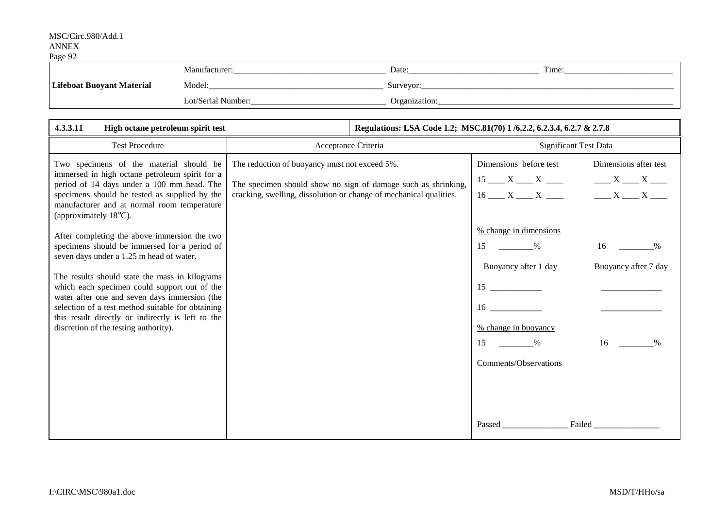| - ---- - - -                     | Manufacturer:      | Date:         | m.<br>l'ime: |
|----------------------------------|--------------------|---------------|--------------|
| <b>Lifeboat Buoyant Material</b> | Model:             | Surveyor      |              |
|                                  | Lot/Serial Number: | Organization: |              |

| 4.3.3.11<br>High octane petroleum spirit test                                                                                                                                                                                                                                                                                                                                                                                                  |                                                                                                                                                                                      | Regulations: LSA Code 1.2; MSC.81(70) 1/6.2.2, 6.2.3.4, 6.2.7 & 2.7.8 |                                                                                                                                       |                                                                                 |
|------------------------------------------------------------------------------------------------------------------------------------------------------------------------------------------------------------------------------------------------------------------------------------------------------------------------------------------------------------------------------------------------------------------------------------------------|--------------------------------------------------------------------------------------------------------------------------------------------------------------------------------------|-----------------------------------------------------------------------|---------------------------------------------------------------------------------------------------------------------------------------|---------------------------------------------------------------------------------|
| <b>Test Procedure</b>                                                                                                                                                                                                                                                                                                                                                                                                                          | Acceptance Criteria                                                                                                                                                                  |                                                                       | Significant Test Data                                                                                                                 |                                                                                 |
| Two specimens of the material should be<br>immersed in high octane petroleum spirit for a<br>period of 14 days under a 100 mm head. The<br>specimens should be tested as supplied by the<br>manufacturer and at normal room temperature<br>(approximately 18°C).                                                                                                                                                                               | The reduction of buoyancy must not exceed 5%.<br>The specimen should show no sign of damage such as shrinking,<br>cracking, swelling, dissolution or change of mechanical qualities. |                                                                       | Dimensions before test<br>% change in dimensions                                                                                      | Dimensions after test<br>$15$ $X$ $X$ $X$ $X$ $X$ $X$<br>$16$ X X X X X X X X X |
| After completing the above immersion the two<br>specimens should be immersed for a period of<br>seven days under a 1.25 m head of water.<br>The results should state the mass in kilograms<br>which each specimen could support out of the<br>water after one and seven days immersion (the<br>selection of a test method suitable for obtaining<br>this result directly or indirectly is left to the<br>discretion of the testing authority). |                                                                                                                                                                                      |                                                                       | 15<br>$\%$<br>Buoyancy after 1 day<br>15<br>$16 \quad \text{or} \quad$<br>% change in buoyancy<br>15<br>$\%$<br>Comments/Observations | 16<br>$\%$<br>Buoyancy after 7 day<br>16<br>$\frac{0}{0}$                       |
|                                                                                                                                                                                                                                                                                                                                                                                                                                                |                                                                                                                                                                                      |                                                                       |                                                                                                                                       | Failed                                                                          |